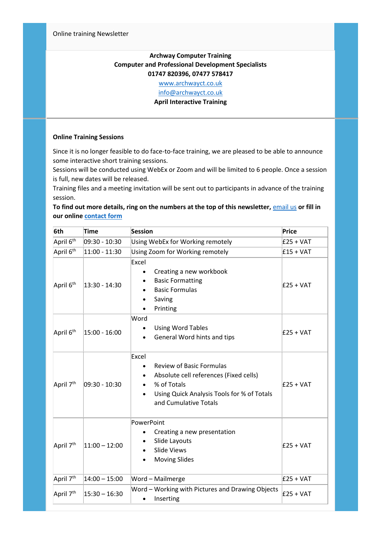## **Archway Computer Training Computer and Professional Development Specialists 01747 820396, 07477 578417**

[www.archwayct.co.uk](http://www.archwayct.co.uk/)

[info@archwayct.co.uk](mailto:%20info@archwayct.co.uk)

**April Interactive Training**

## **Online Training Sessions**

Since it is no longer feasible to do face-to-face training, we are pleased to be able to announce some interactive short training sessions.

Sessions will be conducted using WebEx or Zoom and will be limited to 6 people. Once a session is full, new dates will be released.

Training files and a meeting invitation will be sent out to participants in advance of the training session.

## **To find out more details, ring on the numbers at the top of this newsletter,** [email us](mailto:janet@archwayct.co.uk?subject=Online%20training%20sessions) **or fill in our online [contact form](https://www.archwayct.co.uk/contact/)**

| 6th                   | Time             | Session                                                                                                                                                                                                 | Price       |
|-----------------------|------------------|---------------------------------------------------------------------------------------------------------------------------------------------------------------------------------------------------------|-------------|
| April 6 <sup>th</sup> | 09:30 - 10:30    | Using WebEx for Working remotely                                                                                                                                                                        | $E25 + VAT$ |
| April 6 <sup>th</sup> | 11:00 - 11:30    | Using Zoom for Working remotely                                                                                                                                                                         | $E15 + VAT$ |
| April 6 <sup>th</sup> | 13:30 - 14:30    | Excel<br>Creating a new workbook<br>$\bullet$<br><b>Basic Formatting</b><br><b>Basic Formulas</b><br>Saving<br>Printing                                                                                 | $E25 + VAT$ |
| April 6 <sup>th</sup> | $15:00 - 16:00$  | Word<br><b>Using Word Tables</b><br>General Word hints and tips                                                                                                                                         | $E25 + VAT$ |
| April 7 <sup>th</sup> | $ 09:30 - 10:30$ | Excel<br><b>Review of Basic Formulas</b><br>٠<br>Absolute cell references (Fixed cells)<br>$\bullet$<br>% of Totals<br>$\bullet$<br>Using Quick Analysis Tools for % of Totals<br>and Cumulative Totals | $E25 + VAT$ |
| April 7 <sup>th</sup> | $ 11:00 - 12:00$ | PowerPoint<br>Creating a new presentation<br>Slide Layouts<br><b>Slide Views</b><br><b>Moving Slides</b><br>٠                                                                                           | $E25 + VAT$ |
| April 7 <sup>th</sup> | $14:00 - 15:00$  | Word - Mailmerge                                                                                                                                                                                        | $E25 + VAT$ |
| April 7 <sup>th</sup> | $15:30 - 16:30$  | Word - Working with Pictures and Drawing Objects<br>Inserting                                                                                                                                           | $E25 + VAT$ |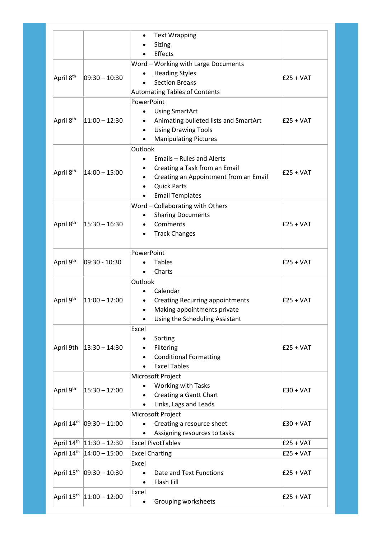|                                                  |                          | <b>Text Wrapping</b>                          |             |
|--------------------------------------------------|--------------------------|-----------------------------------------------|-------------|
|                                                  |                          | Sizing                                        |             |
|                                                  |                          | Effects                                       |             |
|                                                  |                          | Word - Working with Large Documents           |             |
| April 8 <sup>th</sup>                            | $ 09:30 - 10:30 $        | <b>Heading Styles</b>                         | $E25 + VAT$ |
|                                                  |                          | <b>Section Breaks</b>                         |             |
|                                                  |                          | Automating Tables of Contents                 |             |
|                                                  |                          | PowerPoint                                    |             |
|                                                  | $ 11:00 - 12:30$         | <b>Using SmartArt</b><br>$\bullet$            |             |
| April 8 <sup>th</sup>                            |                          | Animating bulleted lists and SmartArt         | $E25 + VAT$ |
|                                                  |                          | <b>Using Drawing Tools</b><br>$\bullet$       |             |
|                                                  |                          | <b>Manipulating Pictures</b>                  |             |
|                                                  | $ 14:00 - 15:00$         | Outlook                                       |             |
|                                                  |                          | <b>Emails - Rules and Alerts</b><br>$\bullet$ |             |
| April 8 <sup>th</sup>                            |                          | Creating a Task from an Email                 | $E25 + VAT$ |
|                                                  |                          | Creating an Appointment from an Email         |             |
|                                                  |                          | <b>Quick Parts</b>                            |             |
|                                                  |                          | <b>Email Templates</b>                        |             |
|                                                  |                          | Word - Collaborating with Others              |             |
|                                                  | $15:30 - 16:30$          | <b>Sharing Documents</b>                      |             |
| April 8 <sup>th</sup>                            |                          | Comments                                      | $E25 + VAT$ |
|                                                  |                          | <b>Track Changes</b>                          |             |
|                                                  |                          | PowerPoint                                    |             |
| April 9 <sup>th</sup>                            | 09:30 - 10:30            | <b>Tables</b>                                 | $E25 + VAT$ |
|                                                  |                          | Charts                                        |             |
|                                                  |                          | Outlook                                       |             |
|                                                  | $ 11:00 - 12:00$         | Calendar<br>$\bullet$                         |             |
| April 9th                                        |                          | <b>Creating Recurring appointments</b>        | $E25 + VAT$ |
|                                                  |                          | Making appointments private<br>$\bullet$      |             |
|                                                  |                          | Using the Scheduling Assistant                |             |
|                                                  |                          | Excel                                         |             |
|                                                  |                          | Sorting<br>$\bullet$                          |             |
| April 9th                                        | $ 13:30 - 14:30$         | Filtering                                     | $E25 + VAT$ |
|                                                  |                          | <b>Conditional Formatting</b>                 |             |
|                                                  |                          | <b>Excel Tables</b>                           |             |
|                                                  |                          | Microsoft Project                             |             |
|                                                  | $ 15:30 - 17:00$         | Working with Tasks                            |             |
| April 9 <sup>th</sup>                            |                          | Creating a Gantt Chart                        | $E30 + VAT$ |
|                                                  |                          | Links, Lags and Leads                         |             |
|                                                  |                          | Microsoft Project                             |             |
| April 14 <sup>th</sup>                           | $ 09:30 - 11:00$         | Creating a resource sheet                     | $E30 + VAT$ |
|                                                  |                          | Assigning resources to tasks                  |             |
|                                                  | April 14th 11:30 - 12:30 | <b>Excel PivotTables</b>                      | $E25 + VAT$ |
| April 14 <sup>th</sup>                           | $14:00 - 15:00$          | <b>Excel Charting</b>                         | $E25 + VAT$ |
|                                                  |                          | Excel                                         |             |
|                                                  |                          |                                               |             |
|                                                  |                          |                                               |             |
|                                                  | $ 09:30 - 10:30$         | Date and Text Functions<br>$\bullet$          | $E25 + VAT$ |
| April 15 <sup>th</sup><br>April 15 <sup>th</sup> | $ 11:00 - 12:00$         | Flash Fill<br>Excel                           |             |